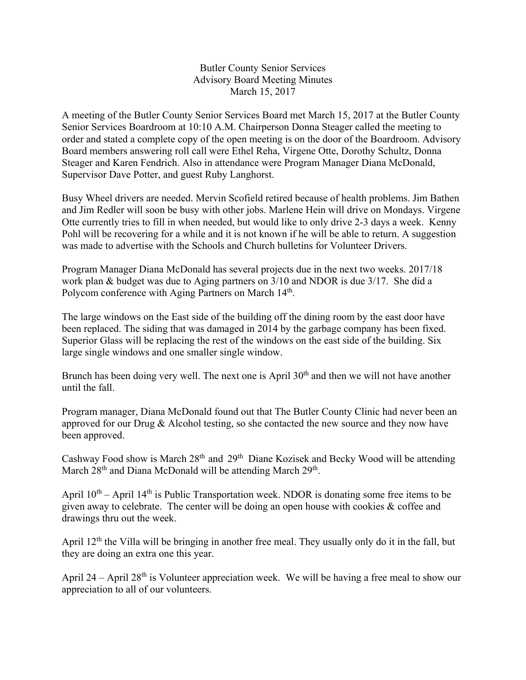## Butler County Senior Services Advisory Board Meeting Minutes March 15, 2017

A meeting of the Butler County Senior Services Board met March 15, 2017 at the Butler County Senior Services Boardroom at 10:10 A.M. Chairperson Donna Steager called the meeting to order and stated a complete copy of the open meeting is on the door of the Boardroom. Advisory Board members answering roll call were Ethel Reha, Virgene Otte, Dorothy Schultz, Donna Steager and Karen Fendrich. Also in attendance were Program Manager Diana McDonald, Supervisor Dave Potter, and guest Ruby Langhorst.

Busy Wheel drivers are needed. Mervin Scofield retired because of health problems. Jim Bathen and Jim Redler will soon be busy with other jobs. Marlene Hein will drive on Mondays. Virgene Otte currently tries to fill in when needed, but would like to only drive 2-3 days a week. Kenny Pohl will be recovering for a while and it is not known if he will be able to return. A suggestion was made to advertise with the Schools and Church bulletins for Volunteer Drivers.

Program Manager Diana McDonald has several projects due in the next two weeks. 2017/18 work plan & budget was due to Aging partners on 3/10 and NDOR is due 3/17. She did a Polycom conference with Aging Partners on March  $14<sup>th</sup>$ .

The large windows on the East side of the building off the dining room by the east door have been replaced. The siding that was damaged in 2014 by the garbage company has been fixed. Superior Glass will be replacing the rest of the windows on the east side of the building. Six large single windows and one smaller single window.

Brunch has been doing very well. The next one is April  $30<sup>th</sup>$  and then we will not have another until the fall.

Program manager, Diana McDonald found out that The Butler County Clinic had never been an approved for our Drug & Alcohol testing, so she contacted the new source and they now have been approved.

Cashway Food show is March  $28<sup>th</sup>$  and  $29<sup>th</sup>$  Diane Kozisek and Becky Wood will be attending March  $28<sup>th</sup>$  and Diana McDonald will be attending March  $29<sup>th</sup>$ .

April  $10^{th}$  – April 14<sup>th</sup> is Public Transportation week. NDOR is donating some free items to be given away to celebrate. The center will be doing an open house with cookies & coffee and drawings thru out the week.

April 12<sup>th</sup> the Villa will be bringing in another free meal. They usually only do it in the fall, but they are doing an extra one this year.

April 24 – April 28<sup>th</sup> is Volunteer appreciation week. We will be having a free meal to show our appreciation to all of our volunteers.